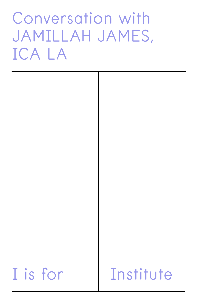# Conversation with JAMILLAH JAMES, ICA LA



# I is for Institute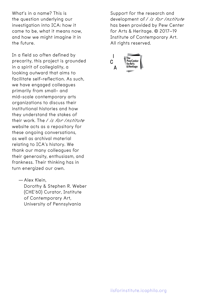What's in a name? This is the question underlying our investigation into ICA: how it came to be, what it means now, and how we might imagine it in the future.

In a field so often defined by precarity, this project is grounded in a spirit of collegiality, a looking outward that aims to facilitate self-reflection. As such, we have engaged colleagues primarily from small- and mid-scale contemporary arts organizations to discuss their institutional histories and how they understand the stakes of their work. The *I is for Institute* website acts as a repository for these ongoing conversations, as well as archival material relating to ICA's history. We thank our many colleagues for their generosity, enthusiasm, and frankness. Their thinking has in turn energized our own.

—Alex Klein,

Dorothy & Stephen R. Weber (CHE'60) Curator, Institute of Contemporary Art, University of Pennsylvania

Support for the research and development of *I is for Institute* has been provided by Pew Center for Arts & Heritage. © 2017–19 Institute of Contemporary Art. All rights reserved.

 $\mathbf{I}$ Ć for Arts & Heritage A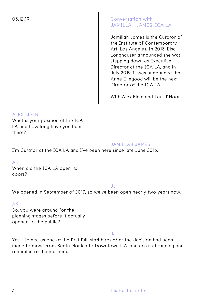# 03.12.19 Conversation with JAMILLAH JAMES, ICA LA

Jamillah James is the Curator of the Institute of Contemporary Art, Los Angeles. In 2018, Elsa Longhauser announced she was stepping down as Executive Director at the ICA LA, and in July 2019, it was announced that Anne Ellegood will be the next Director of the ICA LA.

With Alex Klein and Tausif Noor

# **ALEX KLEIN**

What is your position at the ICA LA and how long have you been there?

# JAMILLAH JAMES

I'm Curator at the ICA LA and I've been here since late June 2016.

# AK

When did the ICA LA open its doors?

#### JJ

We opened in September of 2017, so we've been open nearly two years now.

# AK

So, you were around for the planning stages before it actually opened to the public?

# JJ

Yes, I joined as one of the first full-staff hires after the decision had been made to move from Santa Monica to Downtown L.A. and do a rebranding and renaming of the museum.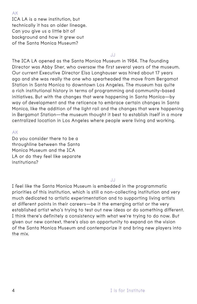ICA LA is a new institution, but technically it has an older lineage. Can you give us a little bit of background and how it grew out of the Santa Monica Museum?

#### JJ

The ICA LA opened as the Santa Monica Museum in 1984. The founding Director was Abby Sher, who oversaw the first several years of the museum. Our current Executive Director Elsa Longhauser was hired about 17 years ago and she was really the one who spearheaded the move from Bergamot Station in Santa Monica to downtown Los Angeles. The museum has quite a rich institutional history in terms of programming and community-based initiatives. But with the changes that were happening in Santa Monica—by way of development and the reticence to embrace certain changes in Santa Monica, like the addition of the light rail and the changes that were happening in Bergamot Station—the museum thought it best to establish itself in a more centralized location in Los Angeles where people were living and working.

# AK

Do you consider there to be a throughline between the Santa Monica Museum and the ICA LA or do they feel like separate institutions?

# JJ

I feel like the Santa Monica Museum is embedded in the programmatic priorities of this institution, which is still a non-collecting institution and very much dedicated to artistic experimentation and to supporting living artists at different points in their careers—be it the emerging artist or the very established artist who's trying to test out new ideas or do something different. I think there's definitely a consistency with what we're trying to do now. But given our new context, there's also an opportunity to expand on the vision of the Santa Monica Museum and contemporize it and bring new players into the mix.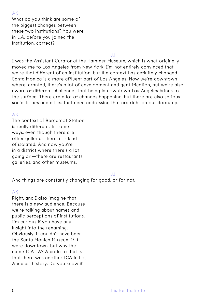What do you think are some of the biggest changes between these two institutions? You were in L.A. before you joined the institution, correct?

#### JJ

I was the Assistant Curator at the Hammer Museum, which is what originally moved me to Los Angeles from New York. I'm not entirely convinced that we're that different of an institution, but the context has definitely changed. Santa Monica is a more affluent part of Los Angeles. Now we're downtown where, granted, there's a lot of development and gentrification, but we're also aware of different challenges that being in downtown Los Angeles brings to the surface. There are a lot of changes happening, but there are also serious social issues and crises that need addressing that are right on our doorstep.

#### AK

The context of Bergamot Station is really different. In some ways, even though there are other galleries there, it is kind of isolated. And now you're in a district where there's a lot going on—there are restaurants, galleries, and other museums.

JJ

And things are constantly changing for good, or for not.

#### AK

Right, and I also imagine that there is a new audience. Because we're talking about names and public perceptions of institutions, I'm curious if you have any insight into the renaming. Obviously, it couldn't have been the Santa Monica Museum if it were downtown, but why the name ICA LA? A coda to that is that there was another ICA in Los Angeles' history. Do you know if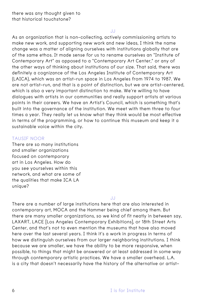#### JJ

As an organization that is non-collecting, actively commissioning artists to make new work, and supporting new work and new ideas, I think the name change was a matter of aligning ourselves with institutions globally that are of the same ethos. It made sense for us to rename ourselves an "Institute of Contemporary Art" as opposed to a "Contemporary Art Center," or any of the other ways of thinking about institutions of our size. That said, there was definitely a cognizance of the Los Angeles Institute of Contemporary Art (LAICA), which was an artist-run space in Los Angeles from 1974 to 1987. We are not artist-run, and that is a point of distinction, but we are artist-centered, which is also a very important distinction to make. We're willing to have dialogues with artists in our communities and really support artists at various points in their careers. We have an Artist's Council, which is something that's built into the governance of the institution. We meet with them three to four times a year. They really let us know what they think would be most effective in terms of the programming, or how to continue this museum and keep it a sustainable voice within the city.

# TAUSIF NOOR

There are so many institutions and smaller organizations focused on contemporary art in Los Angeles. How do you see yourselves within this network, and what are some of the qualities that make ICA LA unique?

JJ

There are a number of large institutions here that are also interested in contemporary art, MOCA and the Hammer being chief among them. But there are many smaller organizations, so we kind of fit neatly in between say, LAXART, LACE [Los Angeles Contemporary Exhibitions], or 18th Street Arts Center, and that's not to even mention the museums that have also moved here over the last several years. I think it's a work in progress in terms of how we distinguish ourselves from our larger neighboring institutions. I think because we are smaller, we have the ability to be more responsive, when possible, to things that might be answered or at least addressed in some way through contemporary artistic practices. We have a smaller overhead. L.A. is a city that doesn't necessarily have the history of the alternative or artist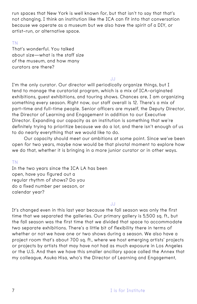run spaces that New York is well known for, but that isn't to say that that's not changing. I think an institution like the ICA can fit into that conversation because we operate as a museum but we also have the spirit of a DIY, or artist-run, or alternative space.

# TN

That's wonderful. You talked about size—what is the staff size of the museum, and how many curators are there?

#### JJ

I'm the only curator. Our director will periodically organize things, but I tend to manage the curatorial program, which is a mix of ICA-originated exhibitions, guest exhibitions, and touring shows. Chances are, I am organizing something every season. Right now, our staff overall is 12. There's a mix of part-time and full-time people. Senior officers are myself, the Deputy Director, the Director of Learning and Engagement in addition to our Executive Director. Expanding our capacity as an institution is something that we're definitely trying to prioritize because we do a lot, and there isn't enough of us to do nearly everything that we would like to do.

Our capacity should meet our ambitions at some point. Since we've been open for two years, maybe now would be that pivotal moment to explore how we do that, whether it is bringing in a more junior curator or in other ways.

# TN

In the two years since the ICA LA has been open, have you figured out a regular rhythm of shows? Do you do a fixed number per season, or calendar year?

# JJ

It's changed even in this last year because the fall season was only the first time that we separated the galleries. Our primary gallery is 5,500 sq. ft., but the fall season was the first time that we divided that space to accommodate two separate exhibitions. There's a little bit of flexibility there in terms of whether or not we have one or two shows during a season. We also have a project room that's about 700 sq. ft., where we host emerging artists' projects or projects by artists that may have not had as much exposure in Los Angeles or the U.S. And then we have this smaller ancillary space called the Annex that my colleague, Asuka Hisa, who's the Director of Learning and Engagement,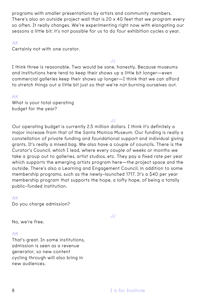programs with smaller presentations by artists and community members. There's also an outside project wall that is 20 x 40 feet that we program every so often. It really changes. We're experimenting right now with elongating our seasons a little bit; it's not possible for us to do four exhibition cycles a year.

# AK

Certainly not with one curator.

JJ

I think three is reasonable. Two would be sane, honestly. Because museums and institutions here tend to keep their shows up a little bit longer—even commercial galleries keep their shows up longer—I think that we can afford to stretch things out a little bit just so that we're not burning ourselves out.

# AK

What is your total operating budget for the year?

# JJ

Our operating budget is currently 2.5 million dollars. I think it's definitely a major increase from that of the Santa Monica Museum. Our funding is really a constellation of private funding and foundational support and individual giving grants. It's really a mixed bag. We also have a couple of councils. There is the Curator's Council, which I lead, where every couple of weeks or months we take a group out to galleries, artist studios, etc. They pay a fixed rate per year which supports the emerging artists program here—the project space and the outside. There's also a Learning and Engagement Council, in addition to some membership programs, such as the newly-launched 1717. It's a \$40 per year membership program that supports the hope, a lofty hope, of being a totally public-funded institution.

# AK

Do you charge admission?

No, we're free.

# AK

That's great. In some institutions, admission is seen as a revenue generator, so new content cycling through will also bring in new audiences.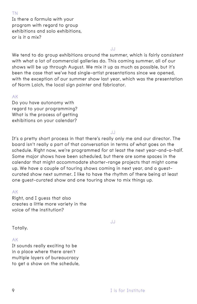#### TN

Is there a formula with your program with regard to group exhibitions and solo exhibitions, or is it a mix?

JJ

We tend to do group exhibitions around the summer, which is fairly consistent with what a lot of commercial galleries do. This coming summer, all of our shows will be up through August. We mix it up as much as possible, but it's been the case that we've had single-artist presentations since we opened, with the exception of our summer show last year, which was the presentation of Norm Laich, the local sign painter and fabricator.

# AK

Do you have autonomy with regard to your programming? What is the process of getting exhibitions on your calendar?

JJ

It's a pretty short process in that there's really only me and our director. The board isn't really a part of that conversation in terms of what goes on the schedule. Right now, we're programmed for at least the next year-and-a-half. Some major shows have been scheduled, but there are some spaces in the calendar that might accommodate shorter-range projects that might come up. We have a couple of touring shows coming in next year, and a guestcurated show next summer. I like to have the rhythm of there being at least one guest-curated show and one touring show to mix things up.

# AK

Right, and I guess that also creates a little more variety in the voice of the institution?

JJ

Totally.

#### AK

It sounds really exciting to be in a place where there aren't multiple layers of bureaucracy to get a show on the schedule,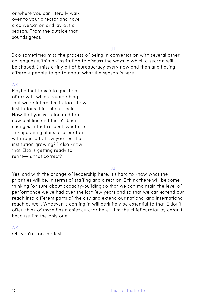or where you can literally walk over to your director and have a conversation and lay out a season. From the outside that sounds areat.

JJ

I do sometimes miss the process of being in conversation with several other colleagues within an institution to discuss the ways in which a season will be shaped. I miss a tiny bit of bureaucracy every now and then and having different people to go to about what the season is here.

# AK

Maybe that taps into questions of growth, which is something that we're interested in too—how institutions think about scale. Now that you've relocated to a new building and there's been changes in that respect, what are the upcoming plans or aspirations with regard to how you see the institution growing? I also know that Elsa is getting ready to retire—is that correct?

#### JJ

Yes, and with the change of leadership here, it's hard to know what the priorities will be, in terms of staffing and direction. I think there will be some thinking for sure about capacity-building so that we can maintain the level of performance we've had over the last few years and so that we can extend our reach into different parts of the city and extend our national and international reach as well. Whoever is coming in will definitely be essential to that. I don't often think of myself as a chief curator here—I'm the chief curator by default because I'm the only one!

# AK

Oh, you're too modest.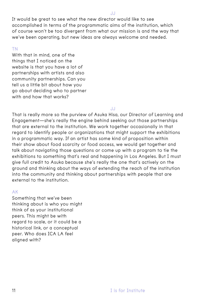JJ

It would be great to see what the new director would like to see accomplished in terms of the programmatic aims of the institution, which of course won't be too divergent from what our mission is and the way that we've been operating, but new ideas are always welcome and needed.

# TN

With that in mind, one of the things that I noticed on the website is that you have a lot of partnerships with artists and also community partnerships. Can you tell us a little bit about how you go about deciding who to partner with and how that works?

#### JJ

That is really more so the purview of Asuka Hisa, our Director of Learning and Engagement—she's really the engine behind seeking out those partnerships that are external to the institution. We work together occasionally in that regard to identify people or organizations that might support the exhibitions in a programmatic way. If an artist has some kind of proposition within their show about food scarcity or food access, we would get together and talk about navigating those questions or come up with a program to tie the exhibitions to something that's real and happening in Los Angeles. But I must give full credit to Asuka because she's really the one that's actively on the ground and thinking about the ways of extending the reach of the institution into the community and thinking about partnerships with people that are external to the institution.

# AK

Something that we've been thinking about is who you might think of as your institutional peers. This might be with regard to scale, or it could be a historical link, or a conceptual peer. Who does ICA LA feel aligned with?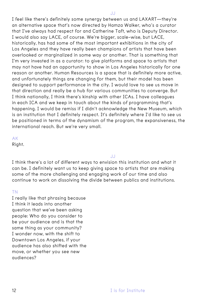I feel like there's definitely some synergy between us and LAXART—they're an alternative space that's now directed by Hamza Walker, who's a curator that I've always had respect for and Catherine Taft, who is Deputy Director. I would also say LACE, of course. We're bigger, scale-wise, but LACE, historically, has had some of the most important exhibitions in the city of Los Angeles and they have really been champions of artists that have been overlooked or marginalized in some way or another. That is something that I'm very invested in as a curator: to give platforms and space to artists that may not have had an opportunity to show in Los Angeles historically for one reason or another. Human Resources is a space that is definitely more active, and unfortunately things are changing for them, but their model has been designed to support performance in the city. I would love to see us move in that direction and really be a hub for various communities to converge. But I think nationally, I think there's kinship with other ICAs. I have colleagues in each ICA and we keep in touch about the kinds of programming that's happening. I would be remiss if I didn't acknowledge the New Museum, which is an institution that I definitely respect. It's definitely where I'd like to see us be positioned in terms of the dynamism of the program, the expansiveness, the international reach. But we're very small.

AK

Right.

JJ

I think there's a lot of different ways to envision this institution and what it can be. I definitely want us to keep giving space to artists that are making some of the more challenging and engaging work of our time and also continue to work on dissolving the divide between publics and institutions.

# TN

I really like that phrasing because I think it leads into another question that we've been asking people: Who do you consider to be your audience and is that the same thing as your community? I wonder now, with the shift to Downtown Los Angeles, if your audience has also shifted with the move, or whether you see new audiences?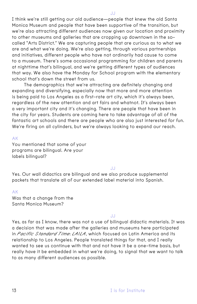I think we're still getting our old audience—people that knew the old Santa Monica Museum and people that have been supportive of the transition, but we're also attracting different audiences now given our location and proximity to other museums and galleries that are cropping up downtown in the socalled "Arts District." We are capturing people that are curious as to what we are and what we're doing. We're also getting, through various partnerships and initiatives, different people who have not ordinarily had cause to come to a museum. There's some occasional programming for children and parents at nighttime that's bilingual, and we're getting different types of audiences that way. We also have the Monday for School program with the elementary school that's down the street from us.

The demographics that we're attracting are definitely changing and expanding and diversifying, especially now that more and more attention is being paid to Los Angeles as a first-rate art city, which it's always been, regardless of the new attention and art fairs and whatnot. It's always been a very important city and it's changing. There are people that have been in the city for years. Students are coming here to take advantage of all of the fantastic art schools and there are people who are also just interested for fun. We're firing on all cylinders, but we're always looking to expand our reach.

AK

You mentioned that some of your programs are bilingual. Are your labels bilingual?

JJ

Yes. Our wall didactics are bilingual and we also produce supplemental packets that translate all of our extended label material into Spanish.

#### AK

Was that a change from the Santa Monica Museum?

JJ

Yes, as far as I know, there was not a use of bilingual didactic materials. It was a decision that was made after the galleries and museums here participated in *Pacific Standard Time: LA/LA*, which focused on Latin America and its relationship to Los Angeles. People translated things for that, and I really wanted to see us continue with that and not have it be a one-time basis, but really have it be embedded in what we're doing, to signal that we want to talk to as many different audiences as possible.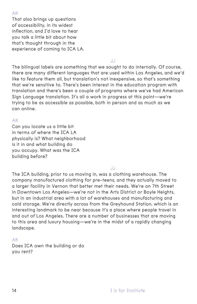That also brings up questions of accessibility, in its widest inflection, and I'd love to hear you talk a little bit about how that's thought through in the experience of coming to ICA LA.

JJ

The bilingual labels are something that we sought to do internally. Of course, there are many different languages that are used within Los Angeles, and we'd like to feature them all, but translation's not inexpensive, so that's something that we're sensitive to. There's been interest in the education program with translation and there's been a couple of programs where we've had American Sign Language translation. It's all a work in progress at this point—we're trying to be as accessible as possible, both in person and as much as we can online.

# AK

Can you locate us a little bit in terms of where the ICA LA physically is? What neighborhood is it in and what building do you occupy. What was the ICA building before?

JJ

The ICA building, prior to us moving in, was a clothing warehouse. The company manufactured clothing for pre-teens, and they actually moved to a larger facility in Vernon that better met their needs. We're on 7th Street in Downtown Los Angeles—we're not in the Arts District or Boyle Heights, but in an industrial area with a lot of warehouses and manufacturing and cold storage. We're directly across from the Greyhound Station, which is an interesting landmark to be near because it's a place where people travel in and out of Los Angeles. There are a number of businesses that are moving to this area and luxury housing—we're in the midst of a rapidly changing landscape.

# AK

Does ICA own the building or do you rent?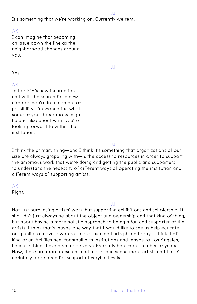JJ

It's something that we're working on. Currently we rent.

AK

I can imagine that becoming an issue down the line as the neighborhood changes around you.

JJ

Yes.

AK

In the ICA's new incarnation, and with the search for a new director, you're in a moment of possibility. I'm wondering what some of your frustrations might be and also about what you're looking forward to within the institution.

JJ

I think the primary thing—and I think it's something that organizations of our size are always grappling with—is the access to resources in order to support the ambitious work that we're doing and getting the public and supporters to understand the necessity of different ways of operating the institution and different ways of supporting artists.

AK

Right.

JJ

Not just purchasing artists' work, but supporting exhibitions and scholarship. It shouldn't just always be about the object and ownership and that kind of thing, but about having a more holistic approach to being a fan and supporter of the artists. I think that's maybe one way that I would like to see us help educate our public to move towards a more sustained arts philanthropy. I think that's kind of an Achilles heel for small arts institutions and maybe to Los Angeles, because things have been done very differently here for a number of years. Now, there are more museums and more spaces and more artists and there's definitely more need for support at varying levels.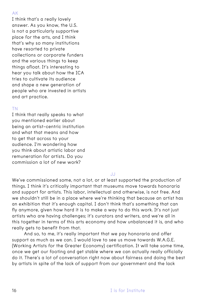I think that's a really lovely answer. As you know, the U.S. is not a particularly supportive place for the arts, and I think that's why so many institutions have resorted to private collections or corporate funders and the various things to keep things afloat. It's interesting to hear you talk about how the ICA tries to cultivate its audience and shape a new generation of people who are invested in artists and art practice.

# TN

I think that really speaks to what you mentioned earlier about being an artist-centric institution and what that means and how to get that across to your audience. I'm wondering how you think about artistic labor and remuneration for artists. Do you commission a lot of new work?

JJ

We've commissioned some, not a lot, or at least supported the production of things. I think it's critically important that museums move towards honoraria and support for artists. This labor, intellectual and otherwise, is not free. And we shouldn't still be in a place where we're thinking that because an artist has an exhibition that it's enough capital. I don't think that's something that can fly anymore, given how hard it is to make a way to do this work. It's not just artists who are having challenges; it's curators and writers, and we're all in this together in terms of this arts economy and how unbalanced it is, and who really gets to benefit from that.

And so, to me, it's really important that we pay honoraria and offer support as much as we can. I would love to see us move towards W.A.G.E. (Working Artists for the Greater Economy) certification. It will take some time, once we get our footing and get stable where we can actually really officially do it. There's a lot of conversation right now about fairness and doing the best by artists in spite of the lack of support from our government and the lack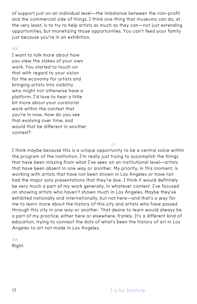of support just on an individual level—the imbalance between the non-profit and the commercial side of things. I think one thing that museums can do, at the very least, is to try to help artists as much as they can—not just extending opportunities, but monetizing those opportunities. You can't feed your family just because you're in an exhibition.

# AK

I want to talk more about how you view the stakes of your own work. You started to touch on that with regard to your vision for the economy for artists and bringing artists into visibility who might not otherwise have a platform. I'd love to hear a little bit more about your curatorial work within the context that you're in now. How do you see that evolving over time, and would that be different in another context?

JJ

I think maybe because this is a unique opportunity to be a central voice within the program of the institution, I'm really just trying to accomplish the things that have been missing from what I've seen on an institutional level—artists that have been absent in one way or another. My priority, in this moment, is working with artists that have not been shown in Los Angeles or have not had the major solo presentations that they're due. I think it would definitely be very much a part of my work generally, in whatever context. I've focused on showing artists who haven't shown much in Los Angeles. Maybe they've exhibited nationally and internationally, but not here—and that's a way for me to learn more about the history of this city and artists who have passed through this city in one way or another. That desire to learn would always be a part of my practice, either here or elsewhere, frankly. It's a different kind of education, trying to connect the dots of what's been the history of art in Los Angeles to art not made in Los Angeles.

AK

Right.